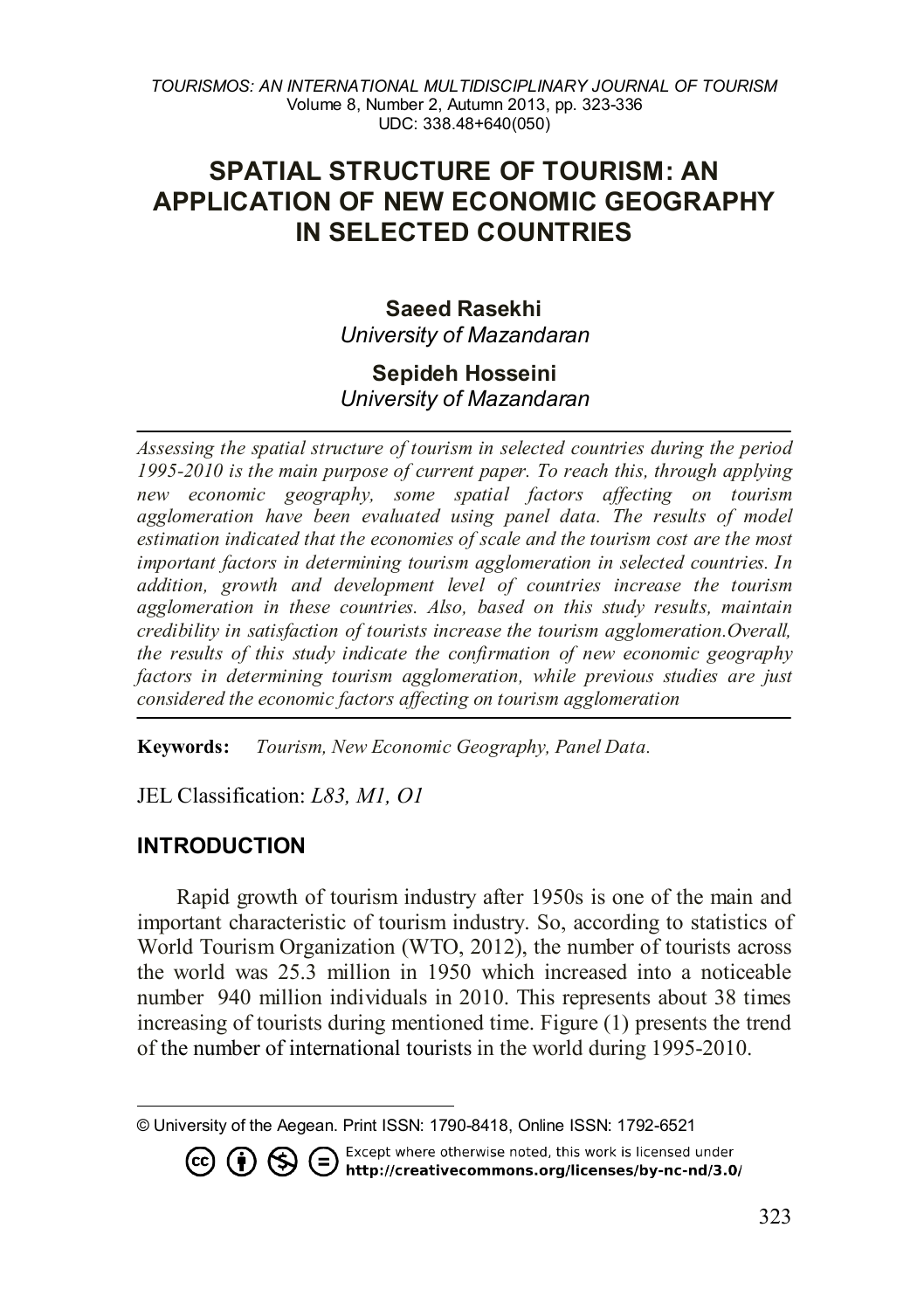# **SPATIAL STRUCTURE OF TOURISM: AN APPLICATION OF NEW ECONOMIC GEOGRAPHY IN SELECTED COUNTRIES**

### **Saeed Rasekhi** *University of Mazandaran*

### **Sepideh Hosseini** *University of Mazandaran*

*Assessing the spatial structure of tourism in selected countries during the period 1995-2010 is the main purpose of current paper. To reach this, through applying new economic geography, some spatial factors affecting on tourism*  agglomeration have been evaluated using panel data. The results of model *estimation indicated that the economies of scale and the tourism cost are the most important factors in determining tourism agglomeration in selected countries. In addition, growth and development level of countries increase the tourism agglomeration in these countries. Also, based on this study results, maintain credibility in satisfaction of tourists increase the tourism agglomeration.Overall, the results of this study indicate the confirmation of new economic geography*  factors in determining tourism agglomeration, while previous studies are just *considered the economic factors affecting on tourism agglomeration*

**Keywords:** *Tourism, New Economic Geography, Panel Data.*

JEL Classification: *L83, M1, O1*

### **INTRODUCTION**

Rapid growth of tourism industry after 1950s is one of the main and important characteristic of tourism industry. So, according to statistics of World Tourism Organization (WTO, 2012), the number of tourists across the world was 25.3 million in 1950 which increased into a noticeable number 940 million individuals in 2010. This represents about 38 times increasing of tourists during mentioned time. Figure (1) presents the trend of the number of international tourists in the world during 1995-2010.

<span id="page-0-0"></span> $\overline{a}$ © University of the Aegean. Print ISSN: 1790-8418, Online ISSN: 1792-6521

. Except where otherwise noted, this work is licensed under **© ① S** ● Except where otherwise noted, this work is licensed under http://creativecommons.org/licenses/by-nc-nd/3.0/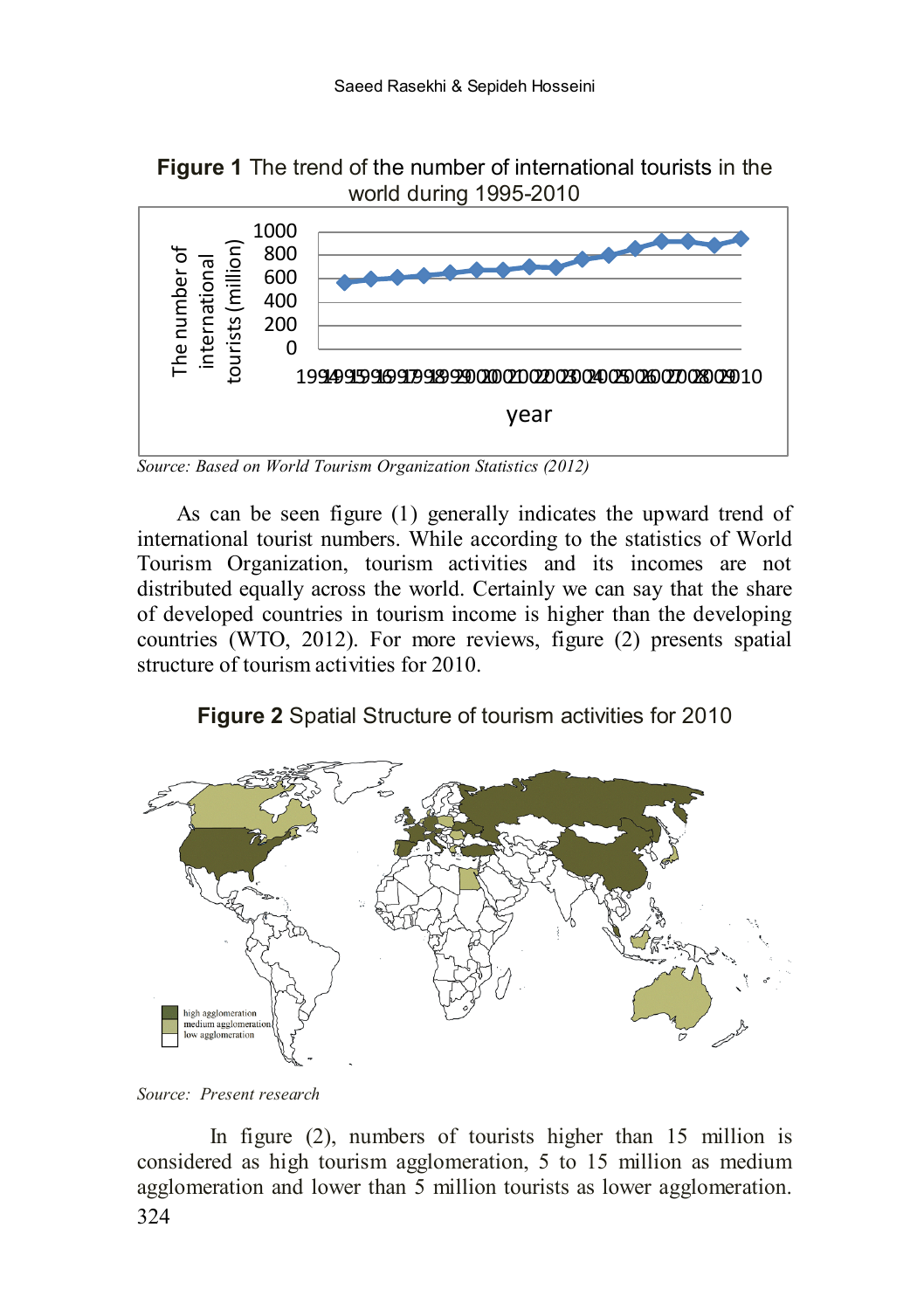**Figure 1** The trend of the number of international tourists in the world during 1995-2010



*Source: Based on World Tourism Organization Statistics (2012)*

As can be seen figure (1) generally indicates the upward trend of international tourist numbers. While according to the statistics of World Tourism Organization, tourism activities and its incomes are not distributed equally across the world. Certainly we can say that the share of developed countries in tourism income is higher than the developing countries (WTO, 2012). For more reviews, figure (2) presents spatial structure of tourism activities for 2010.

**Figure 2** Spatial Structure of tourism activities for 2010



*Source: Present research*

324 In figure (2), numbers of tourists higher than 15 million is considered as high tourism agglomeration, 5 to 15 million as medium agglomeration and lower than 5 million tourists as lower agglomeration.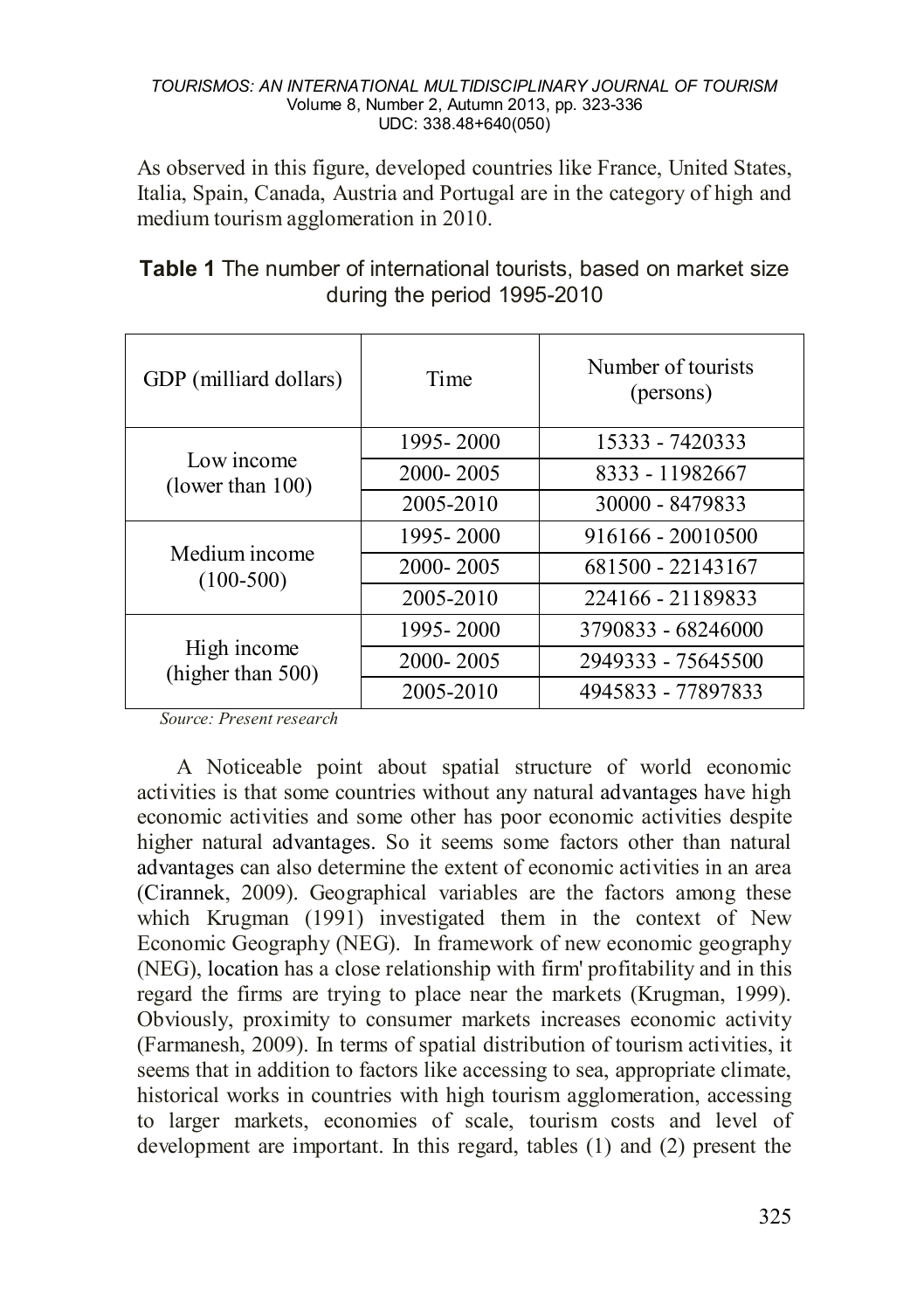As observed in this figure, developed countries like France, United States, Italia, Spain, Canada, Austria and Portugal are in the category of high and medium tourism agglomeration in 2010.

| GDP (milliard dollars)            | Time          | Number of tourists<br>(persons) |
|-----------------------------------|---------------|---------------------------------|
| Low income<br>(lower than $100$ ) | 1995 - 2000   | 15333 - 7420333                 |
|                                   | $2000 - 2005$ | 8333 - 11982667                 |
|                                   | 2005-2010     | 30000 - 8479833                 |
| Medium income<br>$(100-500)$      | 1995 - 2000   | 916166 - 20010500               |
|                                   | $2000 - 2005$ | 681500 - 22143167               |
|                                   | 2005-2010     | 224166 - 21189833               |
| High income<br>(higher than 500)  | 1995 - 2000   | 3790833 - 68246000              |
|                                   | $2000 - 2005$ | 2949333 - 75645500              |
|                                   | 2005-2010     | 4945833 - 77897833              |

# **Table 1** The number of international tourists, based on market size during the period 1995-2010

*Source: Present research*

A Noticeable point about spatial structure of world economic activities is that some countries without any natural advantages have high economic activities and some other has poor economic activities despite higher natural advantages. So it seems some factors other than natural advantages can also determine the extent of economic activities in an area (Cirannek, 2009). Geographical variables are the factors among these which Krugman (1991) investigated them in the context of New Economic Geography (NEG). In framework of new economic geography (NEG), location has a close relationship with firm' profitability and in this regard the firms are trying to place near the markets (Krugman, 1999). Obviously, proximity to consumer markets increases economic activity (Farmanesh, 2009). In terms of spatial distribution of tourism activities, it seems that in addition to factors like accessing to sea, appropriate climate, historical works in countries with high tourism agglomeration, accessing to larger markets, economies of scale, tourism costs and level of development are important. In this regard, tables (1) and (2) present the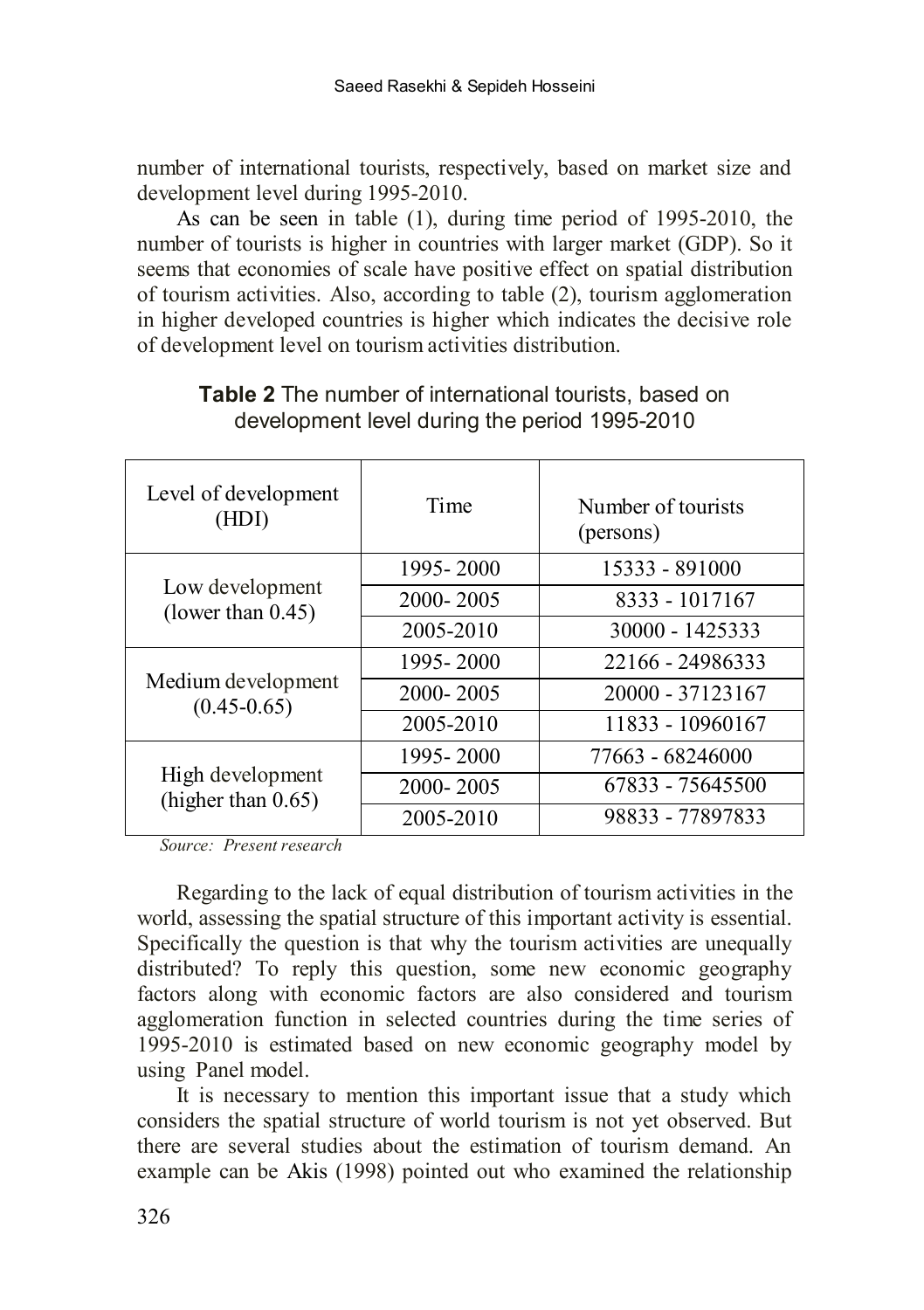number of international tourists, respectively, based on market size and development level during 1995-2010.

As can be seen in table (1), during time period of 1995-2010, the number of tourists is higher in countries with larger market (GDP). So it seems that economies of scale have positive effect on spatial distribution of tourism activities. Also, according to table (2), tourism agglomeration in higher developed countries is higher which indicates the decisive role of development level on tourism activities distribution.

| Level of development<br>(HDI)             | Time          | Number of tourists<br>(persons) |
|-------------------------------------------|---------------|---------------------------------|
| Low development<br>(lower than $0.45$ )   | 1995 - 2000   | 15333 - 891000                  |
|                                           | 2000-2005     | 8333 - 1017167                  |
|                                           | 2005-2010     | 30000 - 1425333                 |
| Medium development<br>$(0.45 - 0.65)$     | 1995 - 2000   | 22166 - 24986333                |
|                                           | 2000-2005     | 20000 - 37123167                |
|                                           | 2005-2010     | 11833 - 10960167                |
| High development<br>(higher than $0.65$ ) | 1995-2000     | 77663 - 68246000                |
|                                           | $2000 - 2005$ | 67833 - 75645500                |
|                                           | 2005-2010     | 98833 - 77897833                |

# **Table 2** The number of international tourists, based on development level during the period 1995-2010

*Source: Present research*

Regarding to the lack of equal distribution of tourism activities in the world, assessing the spatial structure of this important activity is essential. Specifically the question is that why the tourism activities are unequally distributed? To reply this question, some new economic geography factors along with economic factors are also considered and tourism agglomeration function in selected countries during the time series of 1995-2010 is estimated based on new economic geography model by using Panel model.

It is necessary to mention this important issue that a study which considers the spatial structure of world tourism is not yet observed. But there are several studies about the estimation of tourism demand. An example can be Akis (1998) pointed out who examined the relationship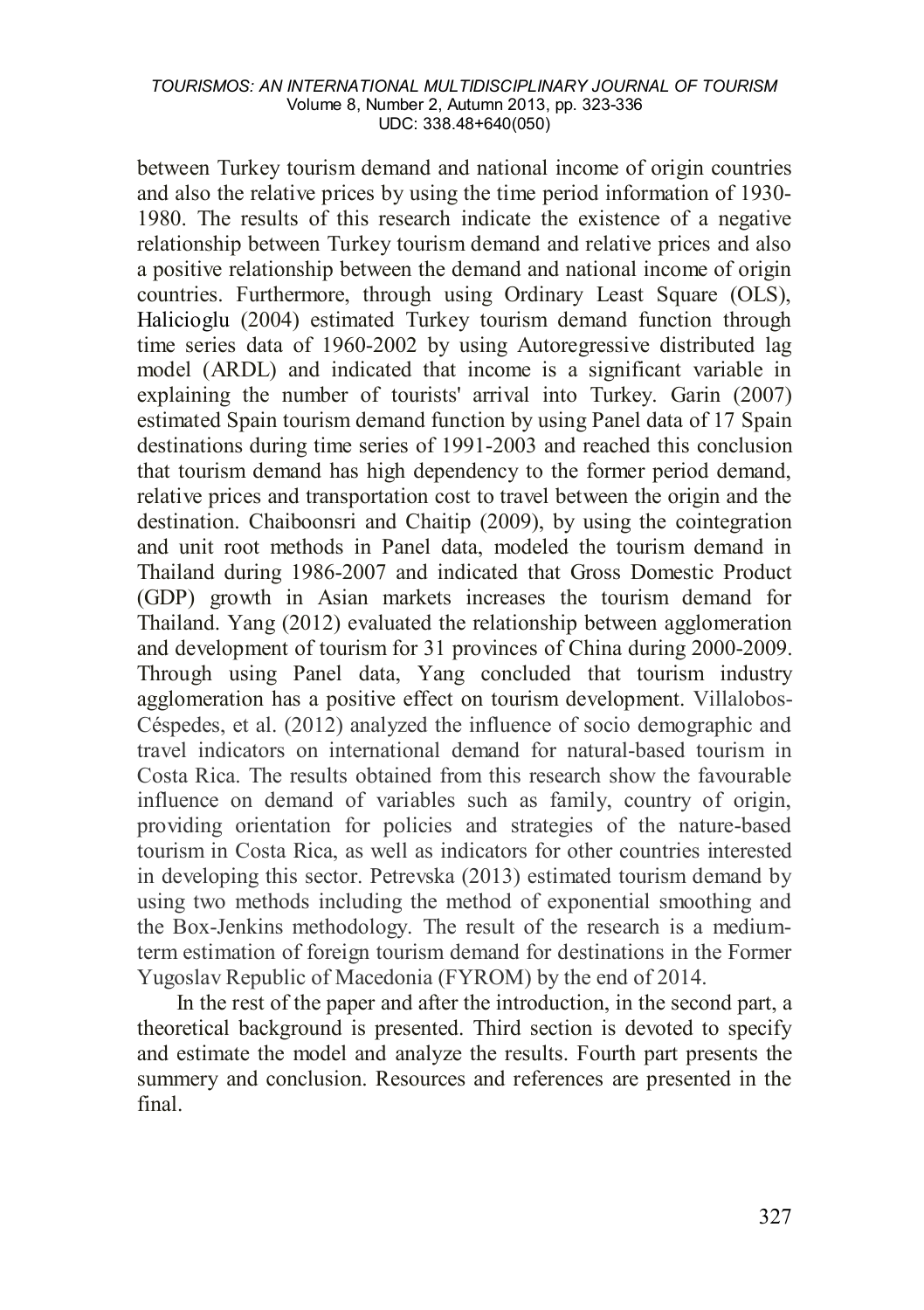between Turkey tourism demand and national income of origin countries and also the relative prices by using the time period information of 1930- 1980. The results of this research indicate the existence of a negative relationship between Turkey tourism demand and relative prices and also a positive relationship between the demand and national income of origin  $countries$ . Furthermore, through using Ordinary Least Square  $(OLS)$ . Halicioglu (2004) estimated Turkey tourism demand function through time series data of 1960-2002 by using Autoregressive distributed lag model (ARDL) and indicated that income is a significant variable in explaining the number of tourists' arrival into Turkey. Garin (2007) estimated Spain tourism demand function by using Panel data of 17 Spain destinations during time series of 1991-2003 and reached this conclusion that tourism demand has high dependency to the former period demand, relative prices and transportation cost to travel between the origin and the destination. Chaiboonsri and Chaitip (2009), by using the cointegration and unit root methods in Panel data, modeled the tourism demand in Thailand during 1986-2007 and indicated that Gross Domestic Product (GDP) growth in Asian markets increases the tourism demand for Thailand. Yang (2012) evaluated the relationship between agglomeration and development of tourism for 31 provinces of China during 2000-2009. Through using Panel data, Yang concluded that tourism industry agglomeration has a positive effect on tourism development. Villalobos-Céspedes, et al. (2012) analyzed the influence of socio demographic and travel indicators on international demand for natural-based tourism in Costa Rica. The results obtained from this research show the favourable influence on demand of variables such as family, country of origin, providing orientation for policies and strategies of the nature-based tourism in Costa Rica, as well as indicators for other countries interested in developing this sector. Petrevska (2013) estimated tourism demand by using two methods including the method of exponential smoothing and the Box-Jenkins methodology. The result of the research is a mediumterm estimation of foreign tourism demand for destinations in the Former Yugoslav Republic of Macedonia (FYROM) by the end of 2014.

In the rest of the paper and after the introduction, in the second part, a theoretical background is presented. Third section is devoted to specify and estimate the model and analyze the results. Fourth part presents the summery and conclusion. Resources and references are presented in the final.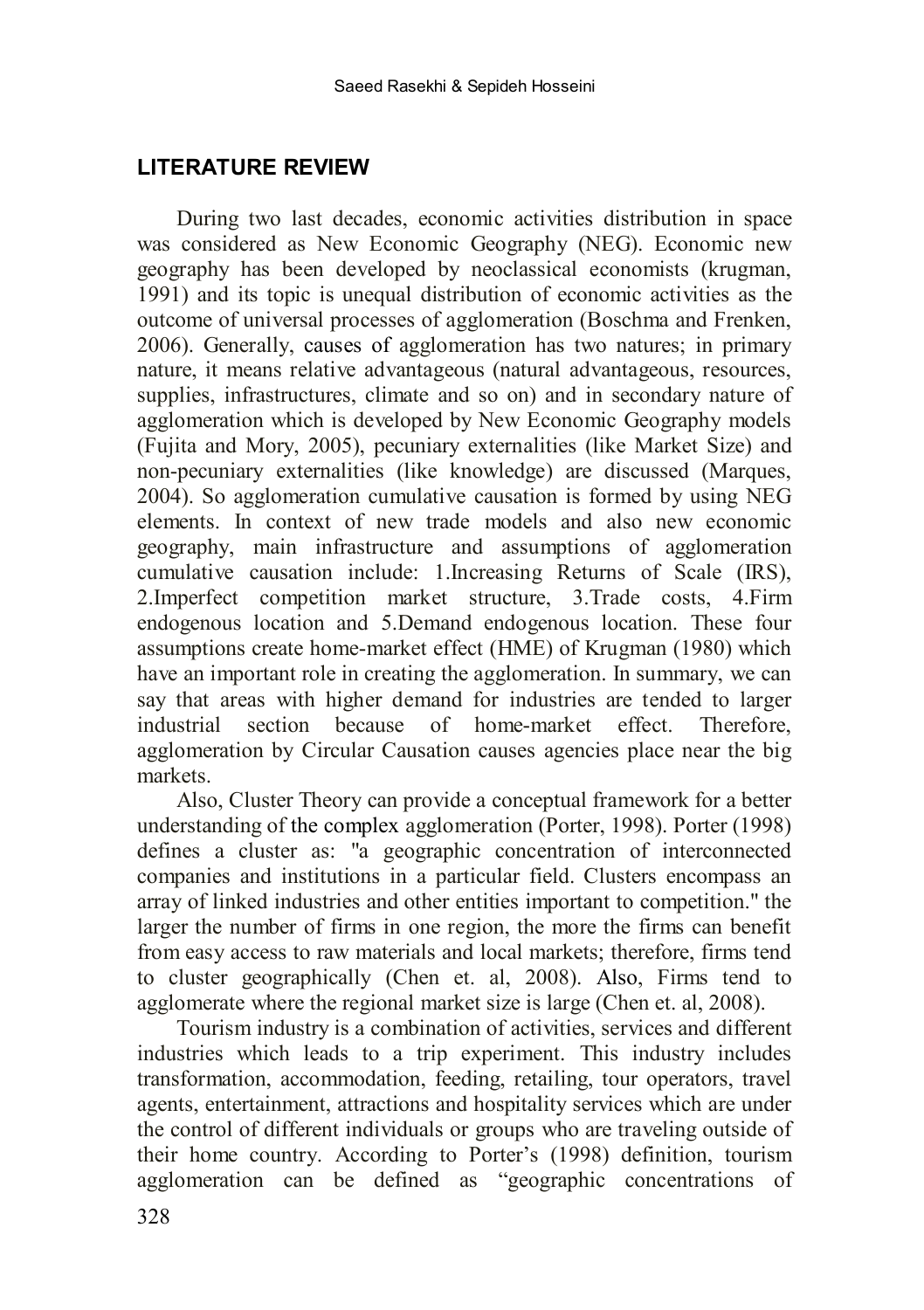### **LITERATURE REVIEW**

During two last decades, economic activities distribution in space was considered as New Economic Geography (NEG). Economic new geography has been developed by neoclassical economists (krugman, 1991) and its topic is unequal distribution of economic activities as the outcome of universal processes of agglomeration (Boschma and Frenken, 2006). Generally, causes of agglomeration has two natures; in primary nature, it means relative advantageous (natural advantageous, resources, supplies, infrastructures, climate and so on) and in secondary nature of agglomeration which is developed by New Economic Geography models (Fujita and Mory, 2005), pecuniary externalities (like Market Size) and non-pecuniary externalities (like knowledge) are discussed (Marques, 2004). So agglomeration cumulative causation is formed by using NEG elements. In context of new trade models and also new economic geography, main infrastructure and assumptions of agglomeration cumulative causation include: 1.Increasing Returns of Scale (IRS), 2.Imperfect competition market structure, 3.Trade costs, 4.Firm endogenous location and 5.Demand endogenous location. These four assumptions create home-market effect (HME) of Krugman (1980) which have an important role in creating the agglomeration. In summary, we can say that areas with higher demand for industries are tended to larger industrial section because of home-market effect. Therefore, agglomeration by Circular Causation causes agencies place near the big markets.

Also, Cluster Theory can provide a conceptual framework for a better understanding of the complex agglomeration (Porter, 1998). Porter (1998) defines a cluster as: "a geographic concentration of interconnected companies and institutions in a particular field. Clusters encompass an array of linked industries and other entities important to competition." the larger the number of firms in one region, the more the firms can benefit from easy access to raw materials and local markets; therefore, firms tend to cluster geographically (Chen et. al, 2008). Also, Firms tend to agglomerate where the regional market size is large (Chen et. al, 2008).

Tourism industry is a combination of activities, services and different industries which leads to a trip experiment. This industry includes transformation, accommodation, feeding, retailing, tour operators, travel agents, entertainment, attractions and hospitality services which are under the control of different individuals or groups who are traveling outside of their home country. According to Porter's (1998) definition, tourism agglomeration can be defined as "geographic concentrations of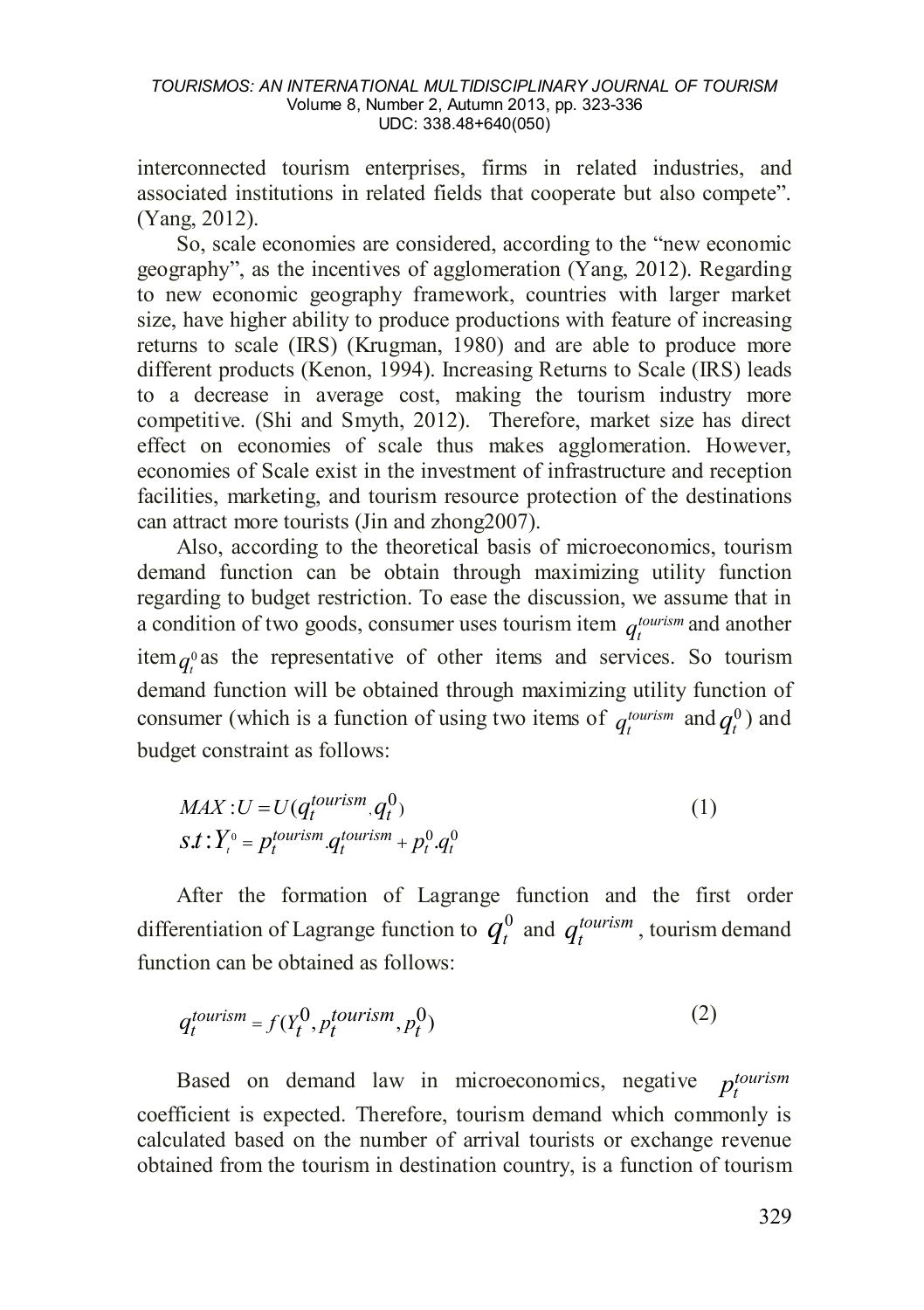interconnected tourism enterprises, firms in related industries, and associated institutions in related fields that cooperate but also compete". (Yang, 2012).

So, scale economies are considered, according to the "new economic geography", as the incentives of agglomeration (Yang, 2012). Regarding to new economic geography framework, countries with larger market size, have higher ability to produce productions with feature of increasing returns to scale (IRS) (Krugman, 1980) and are able to produce more different products (Kenon, 1994). Increasing Returns to Scale (IRS) leads to a decrease in average cost, making the tourism industry more competitive. (Shi and Smyth, 2012). Therefore, market size has direct effect on economies of scale thus makes agglomeration. However, economies of Scale exist in the investment of infrastructure and reception facilities, marketing, and tourism resource protection of the destinations can attract more tourists (Jin and zhong2007).

Also, according to the theoretical basis of microeconomics, tourism demand function can be obtain through maximizing utility function regarding to budget restriction. To ease the discussion, we assume that in a condition of two goods, consumer uses tourism item  $q_t^{turn}$  and another item  $a^0$  as the representative of other items and services. So tourism demand function will be obtained through maximizing utility function of consumer (which is a function of using two items of  $q_t^{tourism}$  and  $q_t^0$ ) and budget constraint as follows:

$$
MAX: U = U(q_t^{tourism}, q_t^0)
$$
  
\n
$$
s.t: Y_t^0 = p_t^{tourism} \cdot q_t^{tourism} + p_t^0 \cdot q_t^0
$$
\n(1)

After the formation of Lagrange function and the first order differentiation of Lagrange function to  $q_t^0$  and  $q_t^{tourism}$ , tourism demand function can be obtained as follows:

$$
q_t^{tourism} = f(Y_t^0, p_t^{tourism}, p_t^0)
$$
\n<sup>(2)</sup>

Based on demand law in microeconomics, negative  $p_t^{tourism}$ coefficient is expected. Therefore, tourism demand which commonly is calculated based on the number of arrival tourists or exchange revenue obtained from the tourism in destination country, is a function of tourism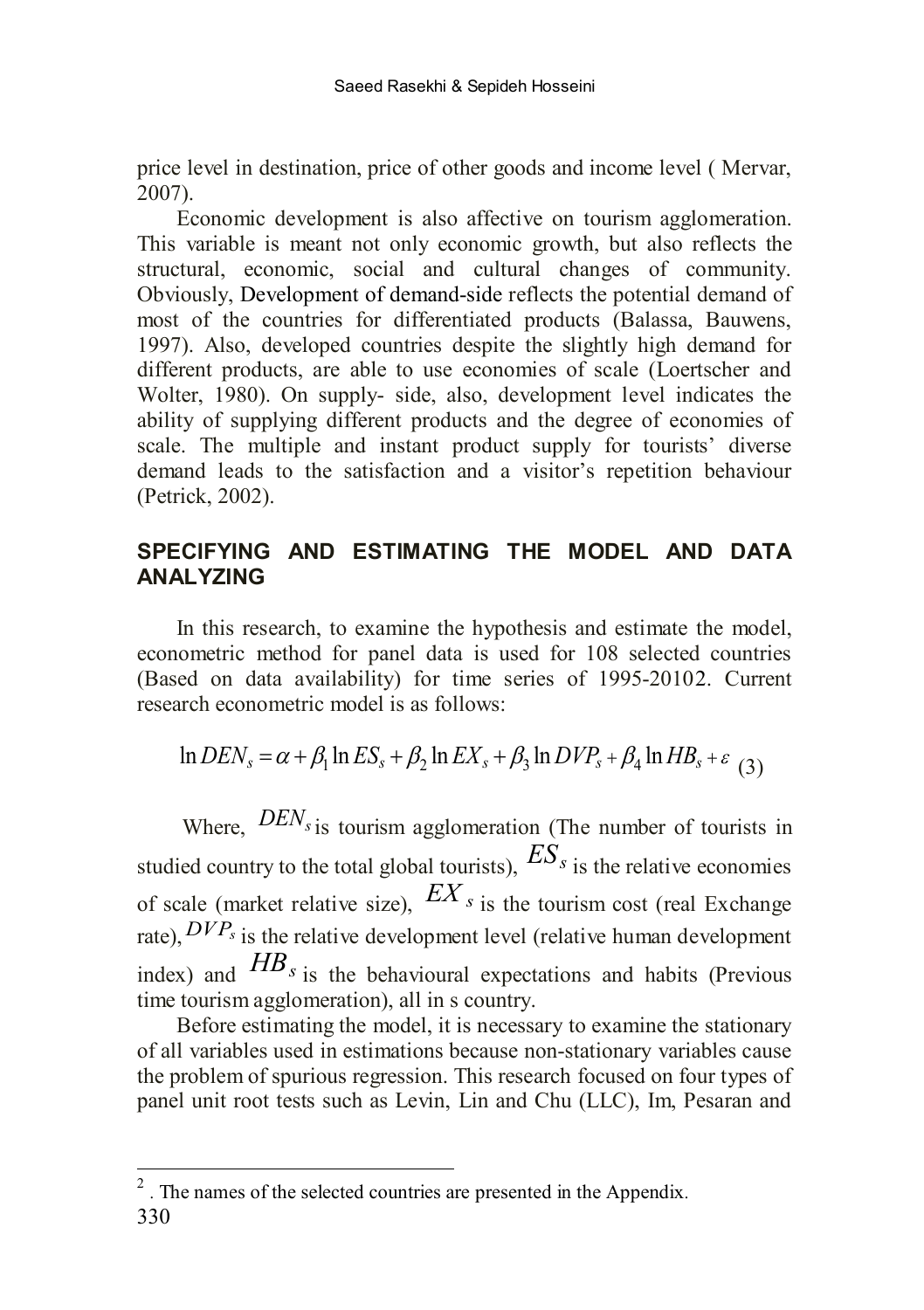price level in destination, price of other goods and income level ( Mervar, 2007).

Economic development is also affective on tourism agglomeration. This variable is meant not only economic growth, but also reflects the structural, economic, social and cultural changes of community. Obviously, Development of demand-side reflects the potential demand of most of the countries for differentiated products (Balassa, Bauwens, 1997). Also, developed countries despite the slightly high demand for different products, are able to use economies of scale (Loertscher and Wolter, 1980). On supply- side, also, development level indicates the ability of supplying different products and the degree of economies of scale. The multiple and instant product supply for tourists' diverse demand leads to the satisfaction and a visitor's repetition behaviour (Petrick, 2002).

# **SPECIFYING AND ESTIMATING THE MODEL AND DATA ANALYZING**

In this research, to examine the hypothesis and estimate the model, econometric method for panel data is used for 108 selected countries (Based on data availability) for time series of 1995-2010[2](#page-7-0). Current research econometric model is as follows:

$$
\ln DEN_s = \alpha + \beta_1 \ln ES_s + \beta_2 \ln EX_s + \beta_3 \ln DVP_s + \beta_4 \ln HB_s + \varepsilon_{(3)}
$$

Where,  $DEN_s$  is tourism agglomeration (The number of tourists in studied country to the total global tourists),  $ES_s$  is the relative economies of scale (market relative size),  $EX_{s}$  is the tourism cost (real Exchange rate),  $DVP_s$  is the relative development level (relative human development index) and  $HB_s$  is the behavioural expectations and habits (Previous time tourism agglomeration), all in s country.

Before estimating the model, it is necessary to examine the stationary of all variables used in estimations because non-stationary variables cause the problem of spurious regression. This research focused on four types of panel unit root tests such as Levin, Lin and Chu (LLC), Im, Pesaran and

<span id="page-7-0"></span><sup>&</sup>lt;sup>2</sup>. The names of the selected countries are presented in the Appendix.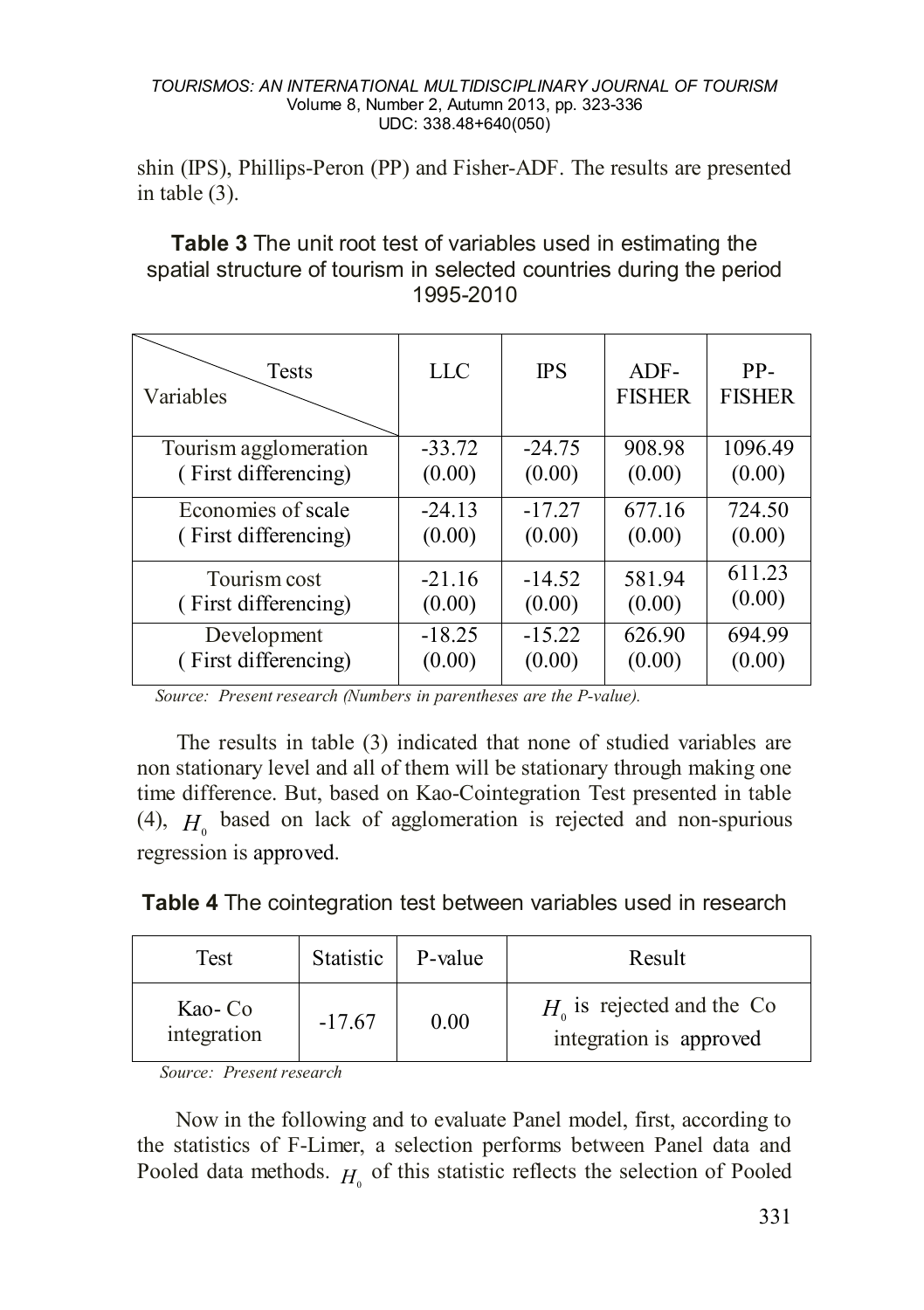shin (IPS), Phillips-Peron (PP) and Fisher-ADF. The results are presented in table (3).

# **Table 3** The unit root test of variables used in estimating the spatial structure of tourism in selected countries during the period 1995-2010

| <b>Tests</b><br>Variables | LLC      | <b>IPS</b> | $ADF-$<br><b>FISHER</b> | PP-<br><b>FISHER</b> |
|---------------------------|----------|------------|-------------------------|----------------------|
| Tourism agglomeration     | $-33.72$ | $-24.75$   | 908.98                  | 1096.49              |
| (First differencing)      | (0.00)   | (0.00)     | (0.00)                  | (0.00)               |
| Economies of scale        | $-24.13$ | $-17.27$   | 677.16                  | 724.50               |
| (First differencing)      | (0.00)   | (0.00)     | (0.00)                  | (0.00)               |
| Tourism cost              | $-21.16$ | $-14.52$   | 581.94                  | 611.23               |
| (First differencing)      | (0.00)   | (0.00)     | (0.00)                  | (0.00)               |
| Development               | $-18.25$ | $-15.22$   | 626.90                  | 694.99               |
| (First differencing)      | (0.00)   | (0.00)     | (0.00)                  | (0.00)               |

 *Source: Present research (Numbers in parentheses are the P-value).*

The results in table (3) indicated that none of studied variables are non stationary level and all of them will be stationary through making one time difference. But, based on Kao-Cointegration Test presented in table (4),  $H<sub>o</sub>$  based on lack of agglomeration is rejected and non-spurious regression is approved.

| Table 4 The cointegration test between variables used in research |  |
|-------------------------------------------------------------------|--|
|-------------------------------------------------------------------|--|

| Test                   | Statistic | P-value | Result                                                 |
|------------------------|-----------|---------|--------------------------------------------------------|
| Kao- Co<br>integration | $-17.67$  | 0.00    | $H0$ is rejected and the Co<br>integration is approved |

*Source: Present research*

 Now in the following and to evaluate Panel model, first, according to the statistics of F-Limer, a selection performs between Panel data and Pooled data methods.  $H_0$  of this statistic reflects the selection of Pooled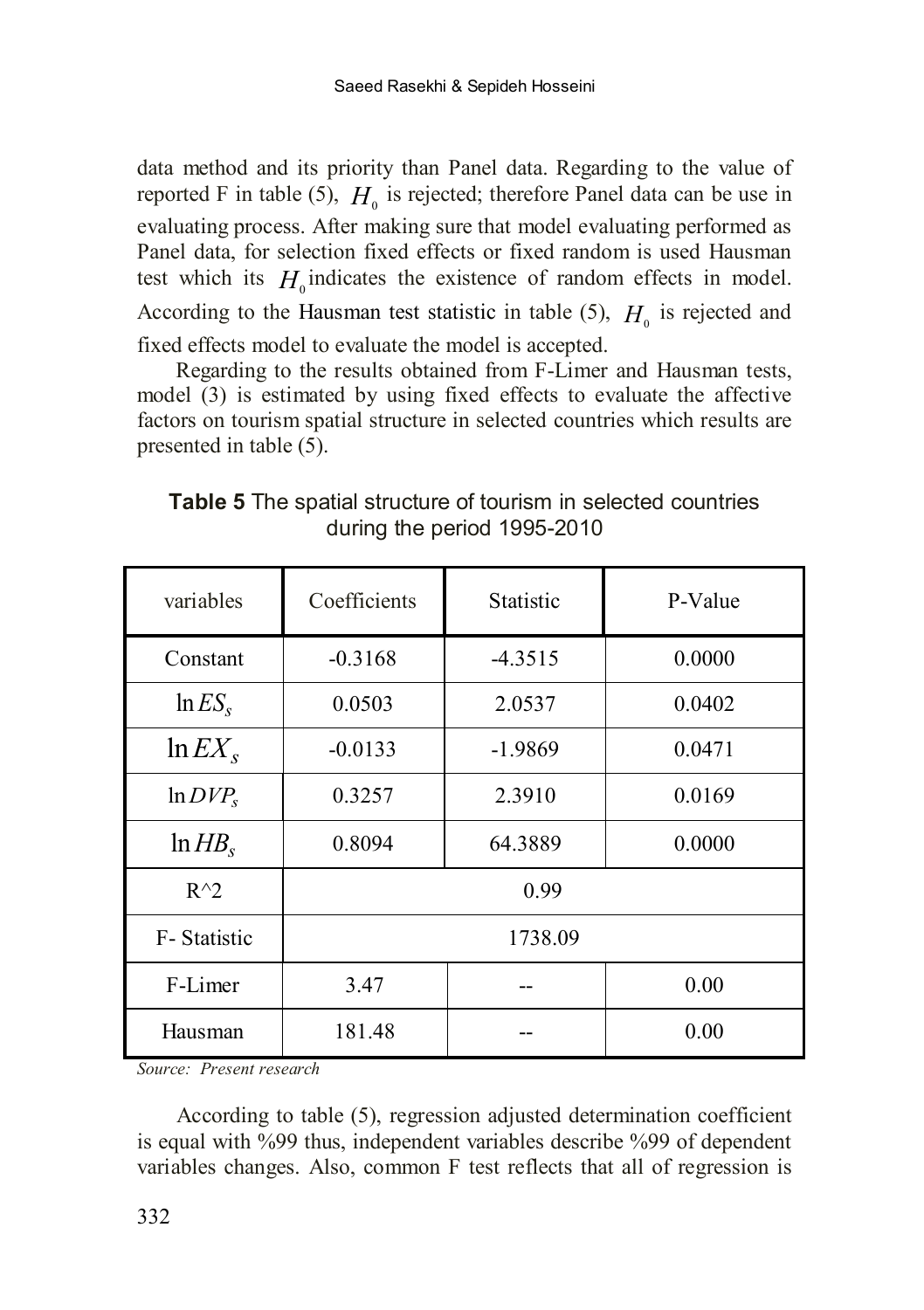data method and its priority than Panel data. Regarding to the value of reported F in table (5),  $H_0$  is rejected; therefore Panel data can be use in evaluating process. After making sure that model evaluating performed as Panel data, for selection fixed effects or fixed random is used Hausman test which its  $H_0$  indicates the existence of random effects in model. According to the Hausman test statistic in table (5),  $H<sub>0</sub>$  is rejected and fixed effects model to evaluate the model is accepted.

 Regarding to the results obtained from F-Limer and Hausman tests, model (3) is estimated by using fixed effects to evaluate the affective factors on tourism spatial structure in selected countries which results are presented in table (5).

| variables     | Coefficients | <b>Statistic</b> | P-Value |
|---------------|--------------|------------------|---------|
| Constant      | $-0.3168$    | $-4.3515$        | 0.0000  |
| $\ln ES_s$    | 0.0503       | 2.0537           | 0.0402  |
| $ln EX_s$     | $-0.0133$    | $-1.9869$        | 0.0471  |
| $ln DVP_s$    | 0.3257       | 2.3910           | 0.0169  |
| $ln HB_s$     | 0.8094       | 64.3889          | 0.0000  |
| $R^{\wedge}2$ | 0.99         |                  |         |
| F-Statistic   | 1738.09      |                  |         |
| F-Limer       | 3.47         |                  | 0.00    |
| Hausman       | 181.48       |                  | 0.00    |

**Table 5** The spatial structure of tourism in selected countries during the period 1995-2010

*Source: Present research*

According to table (5), regression adjusted determination coefficient is equal with %99 thus, independent variables describe %99 of dependent variables changes. Also, common F test reflects that all of regression is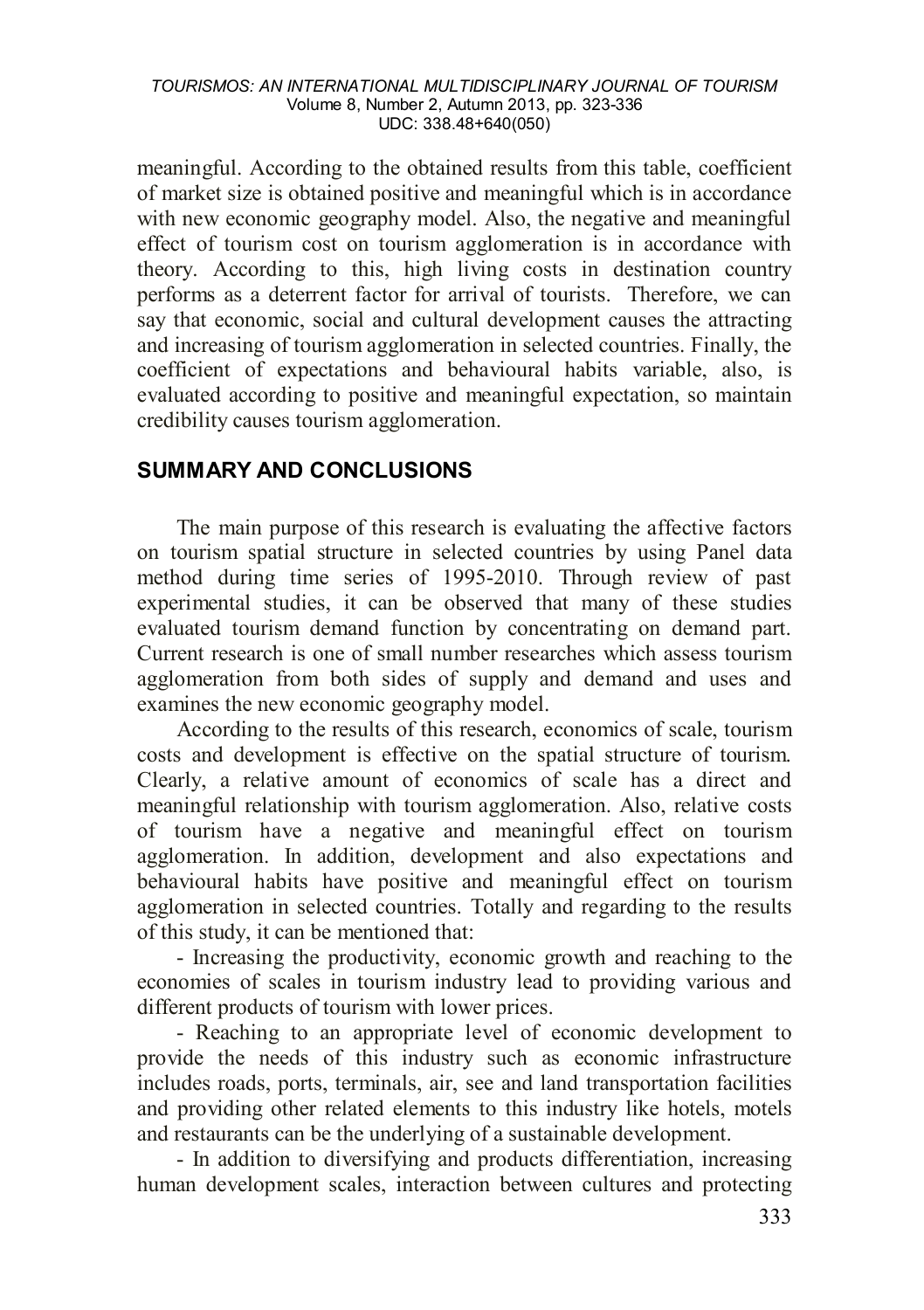meaningful. According to the obtained results from this table, coefficient of market size is obtained positive and meaningful which is in accordance with new economic geography model. Also, the negative and meaningful effect of tourism cost on tourism agglomeration is in accordance with theory. According to this, high living costs in destination country performs as a deterrent factor for arrival of tourists. Therefore, we can say that economic, social and cultural development causes the attracting and increasing of tourism agglomeration in selected countries. Finally, the coefficient of expectations and behavioural habits variable, also, is evaluated according to positive and meaningful expectation, so maintain credibility causes tourism agglomeration.

### **SUMMARY AND CONCLUSIONS**

 The main purpose of this research is evaluating the affective factors on tourism spatial structure in selected countries by using Panel data method during time series of 1995-2010. Through review of past experimental studies, it can be observed that many of these studies evaluated tourism demand function by concentrating on demand part. Current research is one of small number researches which assess tourism agglomeration from both sides of supply and demand and uses and examines the new economic geography model.

According to the results of this research, economics of scale, tourism costs and development is effective on the spatial structure of tourism. Clearly, a relative amount of economics of scale has a direct and meaningful relationship with tourism agglomeration. Also, relative costs of tourism have a negative and meaningful effect on tourism agglomeration. In addition, development and also expectations and behavioural habits have positive and meaningful effect on tourism agglomeration in selected countries. Totally and regarding to the results of this study, it can be mentioned that:

- Increasing the productivity, economic growth and reaching to the economies of scales in tourism industry lead to providing various and different products of tourism with lower prices.

- Reaching to an appropriate level of economic development to provide the needs of this industry such as economic infrastructure includes roads, ports, terminals, air, see and land transportation facilities and providing other related elements to this industry like hotels, motels and restaurants can be the underlying of a sustainable development.

- In addition to diversifying and products differentiation, increasing human development scales, interaction between cultures and protecting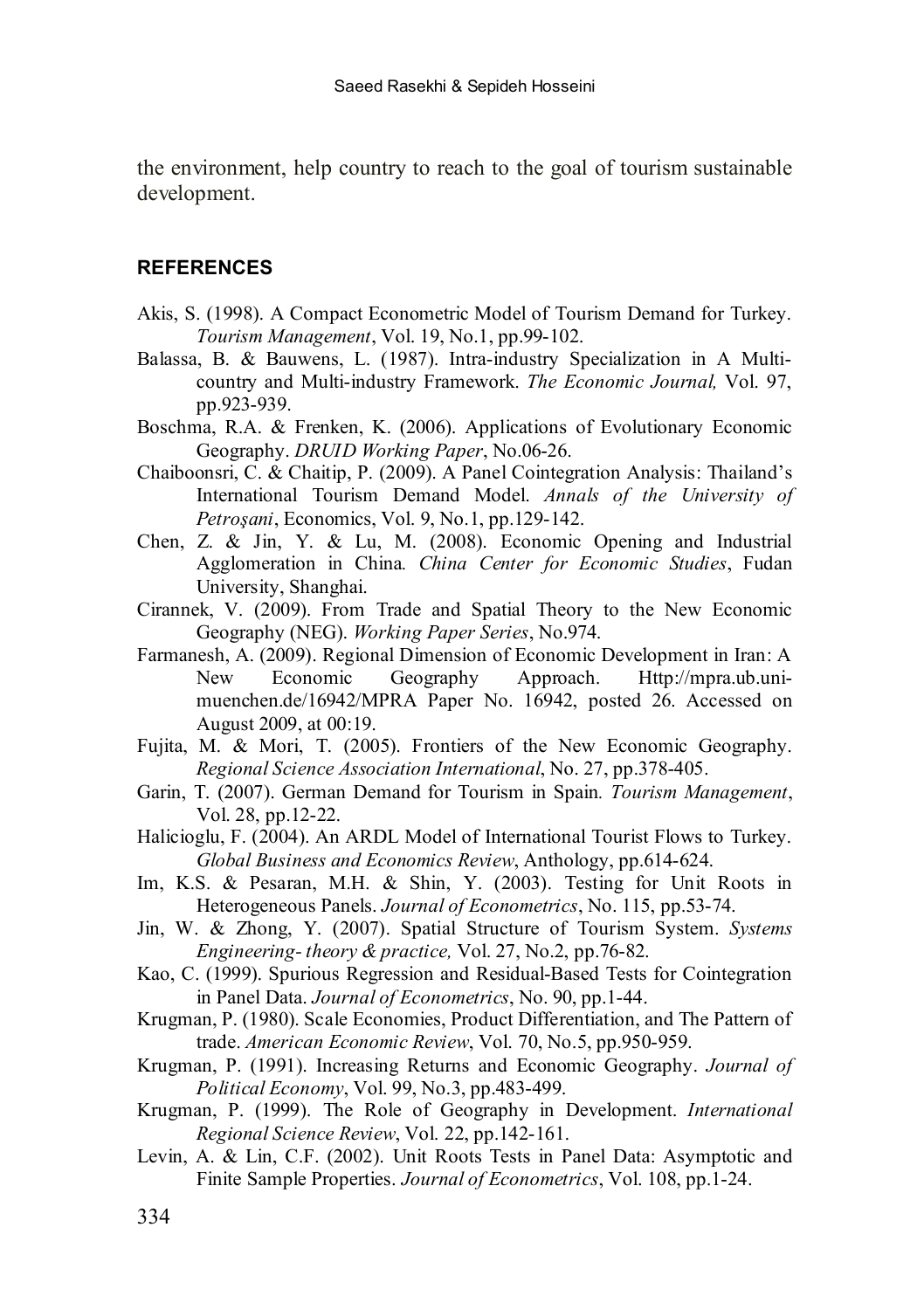the environment, help country to reach to the goal of tourism sustainable development.

#### **REFERENCES**

- Akis, S. (1998). A Compact Econometric Model of Tourism Demand for Turkey. *Tourism Management*, Vol. 19, No.1, pp.99-102.
- Balassa, B. & Bauwens, L. (1987). Intra-industry Specialization in A Multicountry and Multi-industry Framework. *The Economic Journal,* Vol. 97, pp.923-939.
- Boschma, R.A. & Frenken, K. (2006). Applications of Evolutionary Economic Geography. *DRUID Working Paper*, No.06-26.
- Chaiboonsri, C. & Chaitip, P. (2009). A Panel Cointegration Analysis: Thailand's International Tourism Demand Model. *Annals of the University of Petroşani*, Economics, Vol. 9, No.1, pp.129-142.
- Chen, Z. & Jin, Y. & Lu, M. (2008). Economic Opening and Industrial Agglomeration in China*. China Center for Economic Studies*, Fudan University, Shanghai.
- Cirannek, V. (2009). From Trade and Spatial Theory to the New Economic Geography (NEG). *Working Paper Series*, No.974.
- Farmanesh, A. (2009). Regional Dimension of Economic Development in Iran: A New Economic Geography Approach. Http://mpra.ub.unimuenchen.de/16942/MPRA Paper No. 16942, posted 26. Accessed on August 2009, at 00:19.
- Fujita, M. & Mori, T. (2005). Frontiers of the New Economic Geography. *Regional Science Association International*, No. 27, pp.378-405.
- Garin, T. (2007). German Demand for Tourism in Spain*. Tourism Management*, Vol. 28, pp.12-22.
- Halicioglu, F. (2004). An ARDL Model of International Tourist Flows to Turkey. *Global Business and Economics Review*, Anthology, pp.614-624.
- Im, K.S. & Pesaran, M.H. & Shin, Y. (2003). Testing for Unit Roots in Heterogeneous Panels. *Journal of Econometrics*, No. 115, pp.53-74.
- Jin, W. & Zhong, Y. (2007). Spatial Structure of Tourism System. *Systems Engineering- theory & practice,* Vol. 27, No.2, pp.76-82.
- Kao, C. (1999). Spurious Regression and Residual-Based Tests for Cointegration in Panel Data. *Journal of Econometrics*, No. 90, pp.1-44.
- Krugman, P. (1980). Scale Economies, Product Differentiation, and The Pattern of trade. *American Economic Review*, Vol. 70, No.5, pp.950-959.
- Krugman, P. (1991). Increasing Returns and Economic Geography. *Journal of Political Economy*, Vol. 99, No.3, pp.483-499.
- Krugman, P. (1999). The Role of Geography in Development. *International Regional Science Review*, Vol. 22, pp.142-161.
- Levin, A. & Lin, C.F. (2002). Unit Roots Tests in Panel Data: Asymptotic and Finite Sample Properties. *Journal of Econometrics*, Vol. 108, pp.1-24.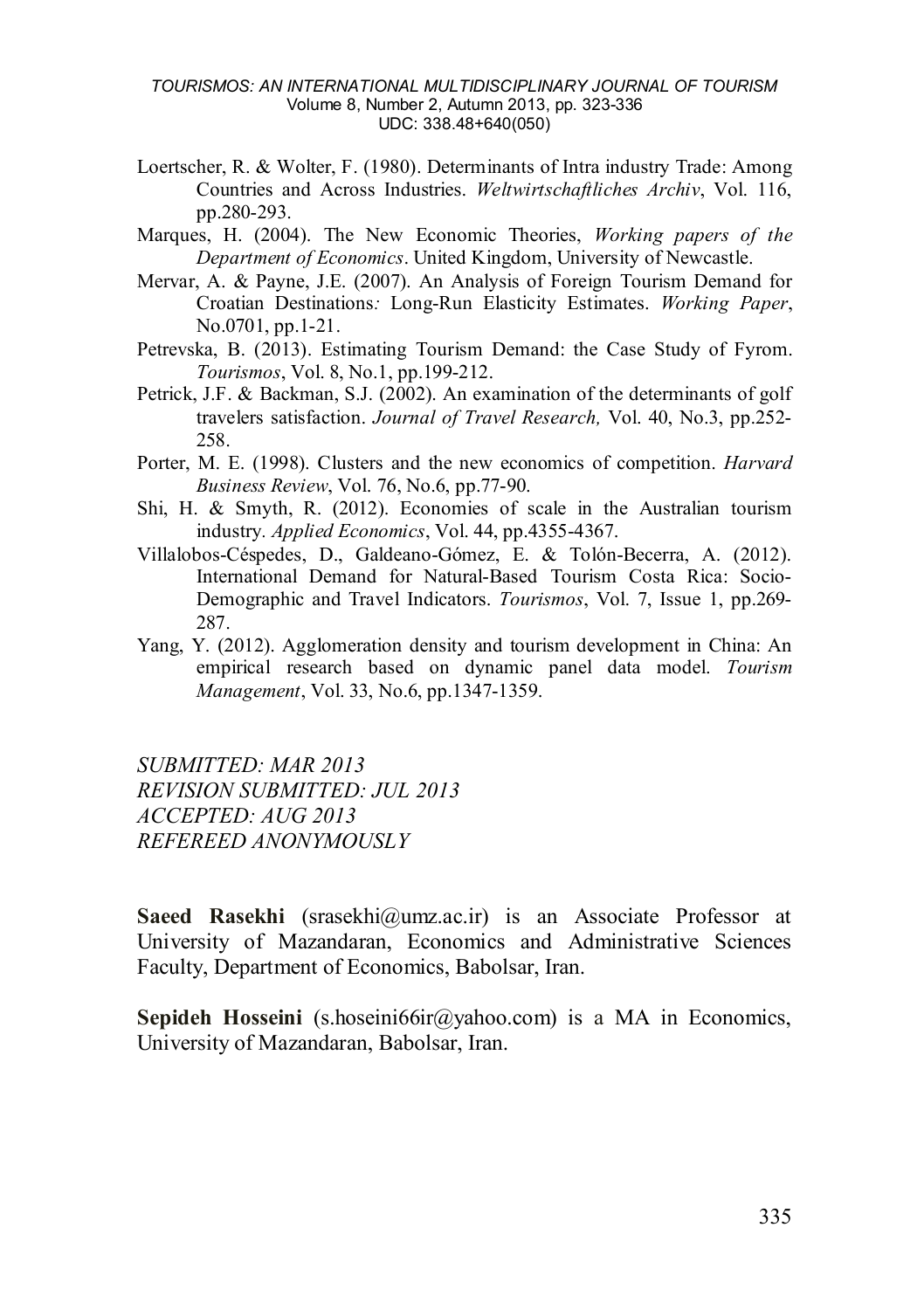- Loertscher, R. & Wolter, F. (1980). Determinants of Intra industry Trade: Among Countries and Across Industries. *Weltwirtschaftliches Archiv*, Vol. 116, pp.280-293.
- Marques, H. (2004). The New Economic Theories, *Working papers of the Department of Economics*. United Kingdom, University of Newcastle.
- Mervar, A. & Payne, J.E. (2007). An Analysis of Foreign Tourism Demand for Croatian Destinations*:* Long-Run Elasticity Estimates. *Working Paper*, No.0701, pp.1-21.
- Petrevska, B. (2013). Estimating Tourism Demand: the Case Study of Fyrom. *Tourismos*, Vol. 8, No.1, pp.199-212.
- Petrick, J.F. & Backman, S.J. (2002). An examination of the determinants of golf travelers satisfaction. *Journal of Travel Research,* Vol. 40, No.3, pp.252- 258.
- Porter, M. E. (1998). Clusters and the new economics of competition. *Harvard Business Review*, Vol. 76, No.6, pp.77-90.
- Shi, H. & Smyth, R. (2012). Economies of scale in the Australian tourism industry*. Applied Economics*, Vol. 44, pp.4355-4367.
- Villalobos-Céspedes, D., Galdeano-Gómez, E. & Tolón-Becerra, A. (2012). International Demand for Natural-Based Tourism Costa Rica: Socio-Demographic and Travel Indicators. *Tourismos*, Vol. 7, Issue 1, pp.269- 287.
- Yang, Y. (2012). Agglomeration density and tourism development in China: An empirical research based on dynamic panel data model. *Tourism Management*, Vol. 33, No.6, pp.1347-1359.

*SUBMITTED: MAR 2013 REVISION SUBMITTED: JUL 2013 ACCEPTED: AUG 2013 REFEREED ANONYMOUSLY*

Saeed Rasekhi (srasekhi@umz.ac.ir) is an Associate Professor at University of Mazandaran, Economics and Administrative Sciences Faculty, Department of Economics, Babolsar, Iran.

**Sepideh Hosseini** (s.hoseini66ir@yahoo.com) is a MA in Economics, University of Mazandaran, Babolsar, Iran.